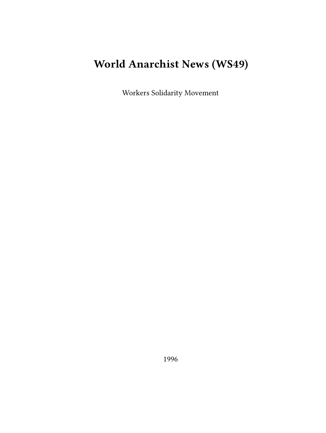# **World Anarchist News (WS49)**

Workers Solidarity Movement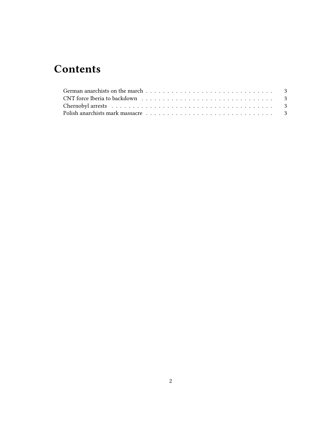## **Contents**

| $\text{CNT}$ force Iberia to backdown $\ldots \ldots \ldots \ldots \ldots \ldots \ldots \ldots \ldots \ldots \ldots \ldots \ldots$ |  |  |  |  |  |  |  |  |  |  |  |  |  |  |
|------------------------------------------------------------------------------------------------------------------------------------|--|--|--|--|--|--|--|--|--|--|--|--|--|--|
|                                                                                                                                    |  |  |  |  |  |  |  |  |  |  |  |  |  |  |
| Polish anarchists mark massacre $\ldots \ldots \ldots \ldots \ldots \ldots \ldots \ldots \ldots$                                   |  |  |  |  |  |  |  |  |  |  |  |  |  |  |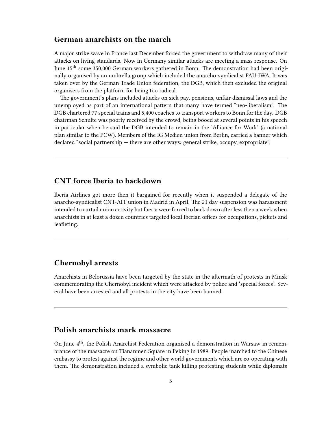#### <span id="page-2-0"></span>**German anarchists on the march**

A major strike wave in France last December forced the government to withdraw many of their attacks on living standards. Now in Germany similar attacks are meeting a mass response. On June 15<sup>th</sup> some 350,000 German workers gathered in Bonn. The demonstration had been originally organised by an umbrella group which included the anarcho-syndicalist FAU-IWA. It was taken over by the German Trade Union federation, the DGB, which then excluded the original organisers from the platform for being too radical.

The government's plans included attacks on sick pay, pensions, unfair dismissal laws and the unemployed as part of an international pattern that many have termed "neo-liberalism". The DGB chartered 77 special trains and 5,400 coaches to transport workers to Bonn for the day. DGB chairman Schulte was poorly received by the crowd, being booed at several points in his speech in particular when he said the DGB intended to remain in the 'Alliance for Work' (a national plan similar to the PCW). Members of the IG Medien union from Berlin, carried a banner which declared "social partnership — there are other ways: general strike, occupy, expropriate".

### <span id="page-2-1"></span>**CNT force Iberia to backdown**

Iberia Airlines got more then it bargained for recently when it suspended a delegate of the anarcho-syndicalist CNT-AIT union in Madrid in April. The 21 day suspension was harassment intended to curtail union activity but Iberia were forced to back down after less then a week when anarchists in at least a dozen countries targeted local Iberian offices for occupations, pickets and leafleting.

#### <span id="page-2-2"></span>**Chernobyl arrests**

Anarchists in Belorussia have been targeted by the state in the aftermath of protests in Minsk commemorating the Chernobyl incident which were attacked by police and 'special forces'. Several have been arrested and all protests in the city have been banned.

#### <span id="page-2-3"></span>**Polish anarchists mark massacre**

On June  $4<sup>th</sup>$ , the Polish Anarchist Federation organised a demonstration in Warsaw in remembrance of the massacre on Tiananmen Square in Peking in 1989. People marched to the Chinese embassy to protest against the regime and other world governments which are co-operating with them. The demonstration included a symbolic tank killing protesting students while diplomats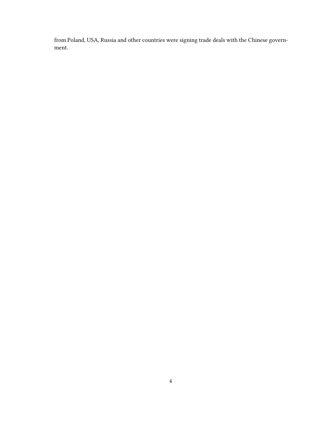from Poland, USA, Russia and other countries were signing trade deals with the Chinese government.